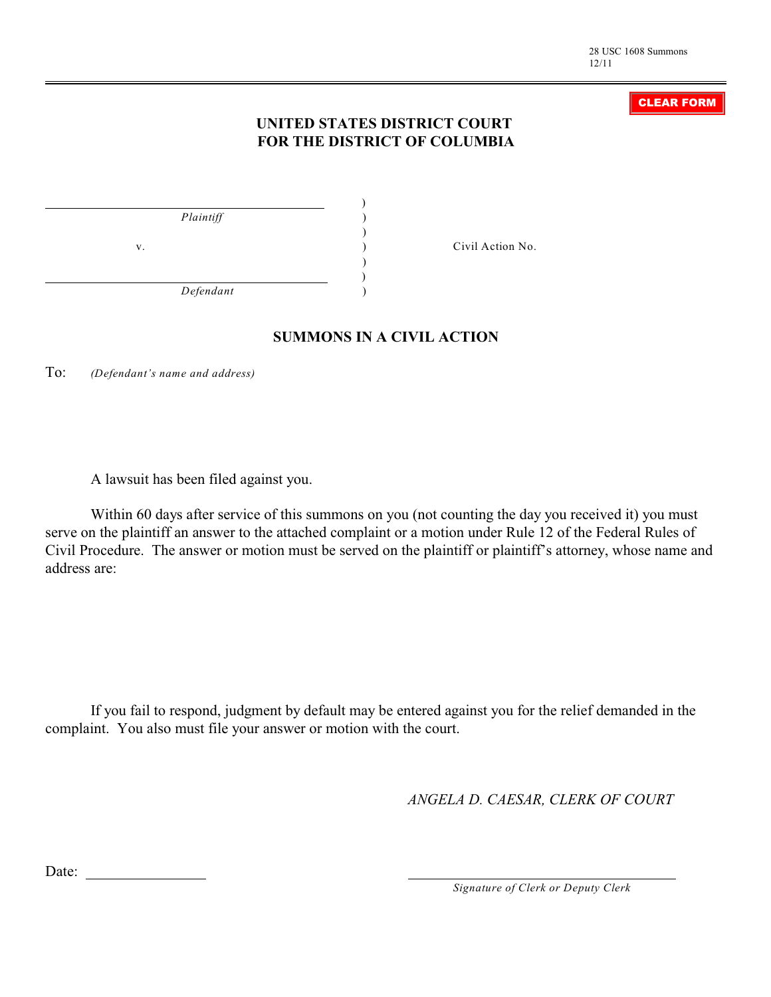### CLEAR FORM

## **UNITED STATES DISTRICT COURT FOR THE DISTRICT OF COLUMBIA**

| Plaintiff |    |
|-----------|----|
|           |    |
|           | V. |
|           |    |
| Defendant |    |

v. ) Civil Action No.

### **SUMMONS IN A CIVIL ACTION**

To: *(Defendant's name and address)*

A lawsuit has been filed against you.

Within 60 days after service of this summons on you (not counting the day you received it) you must serve on the plaintiff an answer to the attached complaint or a motion under Rule 12 of the Federal Rules of Civil Procedure. The answer or motion must be served on the plaintiff or plaintiff's attorney, whose name and address are:

If you fail to respond, judgment by default may be entered against you for the relief demanded in the complaint. You also must file your answer or motion with the court.

*ANGELA D. CAESAR, CLERK OF COURT*

Date:

*Signature of Clerk or Deputy Clerk*